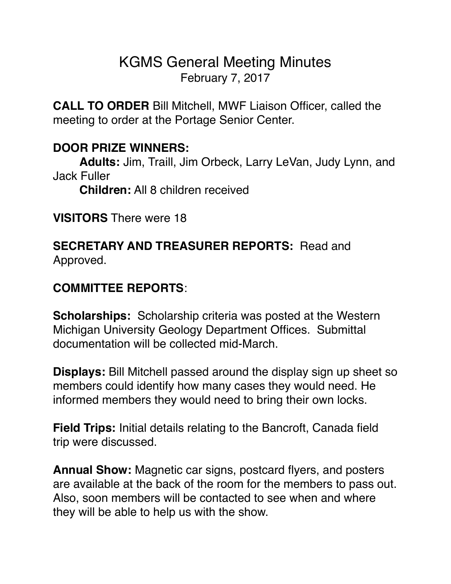# KGMS General Meeting Minutes February 7, 2017

**CALL TO ORDER** Bill Mitchell, MWF Liaison Officer, called the meeting to order at the Portage Senior Center.

### **DOOR PRIZE WINNERS:**

**Adults:** Jim, Traill, Jim Orbeck, Larry LeVan, Judy Lynn, and Jack Fuller

**Children:** All 8 children received

**VISITORS** There were 18

### **SECRETARY AND TREASURER REPORTS:** Read and Approved.

## **COMMITTEE REPORTS**:

**Scholarships:** Scholarship criteria was posted at the Western Michigan University Geology Department Offices. Submittal documentation will be collected mid-March.

**Displays:** Bill Mitchell passed around the display sign up sheet so members could identify how many cases they would need. He informed members they would need to bring their own locks.

**Field Trips:** Initial details relating to the Bancroft, Canada field trip were discussed.

**Annual Show:** Magnetic car signs, postcard flyers, and posters are available at the back of the room for the members to pass out. Also, soon members will be contacted to see when and where they will be able to help us with the show.